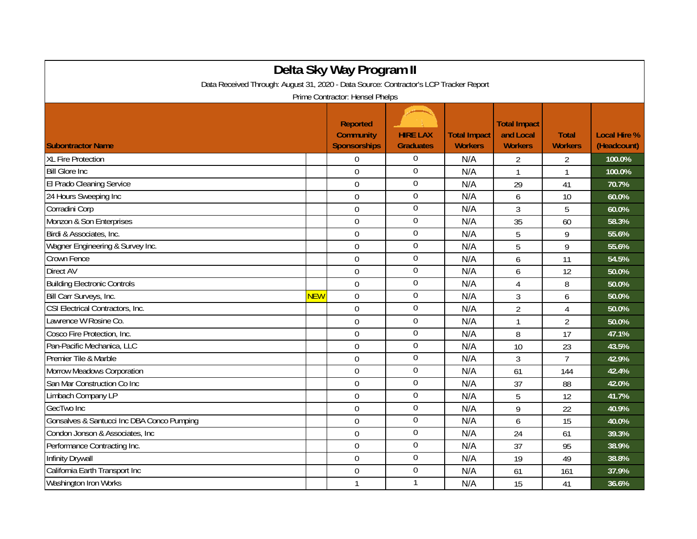| Delta Sky Way Program II                                                                                                 |            |                                                            |                                     |                                       |                                                    |                                |                                    |  |
|--------------------------------------------------------------------------------------------------------------------------|------------|------------------------------------------------------------|-------------------------------------|---------------------------------------|----------------------------------------------------|--------------------------------|------------------------------------|--|
| Data Received Through: August 31, 2020 - Data Source: Contractor's LCP Tracker Report<br>Prime Contractor: Hensel Phelps |            |                                                            |                                     |                                       |                                                    |                                |                                    |  |
| <b>Subontractor Name</b>                                                                                                 |            | <b>Reported</b><br><b>Community</b><br><b>Sponsorships</b> | <b>HIRE LAX</b><br><b>Graduates</b> | <b>Total Impact</b><br><b>Workers</b> | <b>Total Impact</b><br>and Local<br><b>Workers</b> | <b>Total</b><br><b>Workers</b> | <b>Local Hire %</b><br>(Headcount) |  |
| <b>XL Fire Protection</b>                                                                                                |            | $\overline{0}$                                             | $\overline{0}$                      | N/A                                   | 2                                                  | $\overline{2}$                 | 100.0%                             |  |
| <b>Bill Glore Inc</b>                                                                                                    |            | $\mathbf 0$                                                | $\boldsymbol{0}$                    | N/A                                   | $\mathbf{1}$                                       | 1                              | 100.0%                             |  |
| El Prado Cleaning Service                                                                                                |            | $\mathbf 0$                                                | $\overline{0}$                      | N/A                                   | 29                                                 | 41                             | 70.7%                              |  |
| 24 Hours Sweeping Inc                                                                                                    |            | $\mathbf 0$                                                | $\overline{0}$                      | N/A                                   | 6                                                  | 10                             | 60.0%                              |  |
| Corradini Corp                                                                                                           |            | $\overline{0}$                                             | $\mathbf 0$                         | N/A                                   | $\overline{3}$                                     | 5                              | 60.0%                              |  |
| Monzon & Son Enterprises                                                                                                 |            | $\Omega$                                                   | $\mathbf 0$                         | N/A                                   | 35                                                 | 60                             | 58.3%                              |  |
| Birdi & Associates, Inc.                                                                                                 |            | $\mathbf 0$                                                | $\boldsymbol{0}$                    | N/A                                   | 5                                                  | 9                              | 55.6%                              |  |
| Wagner Engineering & Survey Inc.                                                                                         |            | $\mathbf 0$                                                | $\overline{0}$                      | N/A                                   | 5                                                  | 9                              | 55.6%                              |  |
| Crown Fence                                                                                                              |            | $\mathbf 0$                                                | $\boldsymbol{0}$                    | N/A                                   | 6                                                  | 11                             | 54.5%                              |  |
| Direct AV                                                                                                                |            | $\mathbf 0$                                                | $\boldsymbol{0}$                    | N/A                                   | 6                                                  | 12                             | 50.0%                              |  |
| <b>Building Electronic Controls</b>                                                                                      |            | $\overline{0}$                                             | $\overline{0}$                      | N/A                                   | $\overline{4}$                                     | 8                              | 50.0%                              |  |
| Bill Carr Surveys, Inc.                                                                                                  | <b>NEW</b> | $\Omega$                                                   | $\overline{0}$                      | N/A                                   | 3                                                  | 6                              | 50.0%                              |  |
| CSI Electrical Contractors, Inc.                                                                                         |            | $\mathbf 0$                                                | $\mathbf 0$                         | N/A                                   | $\overline{2}$                                     | $\overline{4}$                 | 50.0%                              |  |
| Lawrence W Rosine Co.                                                                                                    |            | $\mathbf 0$                                                | $\boldsymbol{0}$                    | N/A                                   | $\mathbf{1}$                                       | $\overline{2}$                 | 50.0%                              |  |
| Cosco Fire Protection, Inc.                                                                                              |            | $\overline{0}$                                             | $\boldsymbol{0}$                    | N/A                                   | 8                                                  | 17                             | 47.1%                              |  |
| Pan-Pacific Mechanica, LLC                                                                                               |            | $\mathbf 0$                                                | $\boldsymbol{0}$                    | N/A                                   | 10                                                 | 23                             | 43.5%                              |  |
| Premier Tile & Marble                                                                                                    |            | $\overline{0}$                                             | $\overline{0}$                      | N/A                                   | $\overline{3}$                                     | $\overline{7}$                 | 42.9%                              |  |
| Morrow Meadows Corporation                                                                                               |            | $\Omega$                                                   | $\boldsymbol{0}$                    | N/A                                   | 61                                                 | 144                            | 42.4%                              |  |
| San Mar Construction Co Inc                                                                                              |            | $\mathbf 0$                                                | $\mathbf 0$                         | N/A                                   | 37                                                 | 88                             | 42.0%                              |  |
| Limbach Company LP                                                                                                       |            | $\mathbf 0$                                                | $\boldsymbol{0}$                    | N/A                                   | 5                                                  | 12                             | 41.7%                              |  |
| GecTwo Inc                                                                                                               |            | $\mathbf 0$                                                | $\boldsymbol{0}$                    | N/A                                   | 9                                                  | 22                             | 40.9%                              |  |
| Gonsalves & Santucci Inc DBA Conco Pumping                                                                               |            | $\overline{0}$                                             | $\boldsymbol{0}$                    | N/A                                   | 6                                                  | 15                             | 40.0%                              |  |
| Condon Jonson & Associates, Inc.                                                                                         |            | $\Omega$                                                   | $\overline{0}$                      | N/A                                   | 24                                                 | 61                             | 39.3%                              |  |
| Performance Contracting Inc.                                                                                             |            | $\mathbf 0$                                                | $\boldsymbol{0}$                    | N/A                                   | 37                                                 | 95                             | 38.9%                              |  |
| <b>Infinity Drywall</b>                                                                                                  |            | $\overline{0}$                                             | $\boldsymbol{0}$                    | N/A                                   | 19                                                 | 49                             | 38.8%                              |  |
| California Earth Transport Inc                                                                                           |            | 0                                                          | $\overline{0}$                      | N/A                                   | 61                                                 | 161                            | 37.9%                              |  |
| Washington Iron Works                                                                                                    |            | $\mathbf{1}$                                               | 1                                   | N/A                                   | 15                                                 | 41                             | 36.6%                              |  |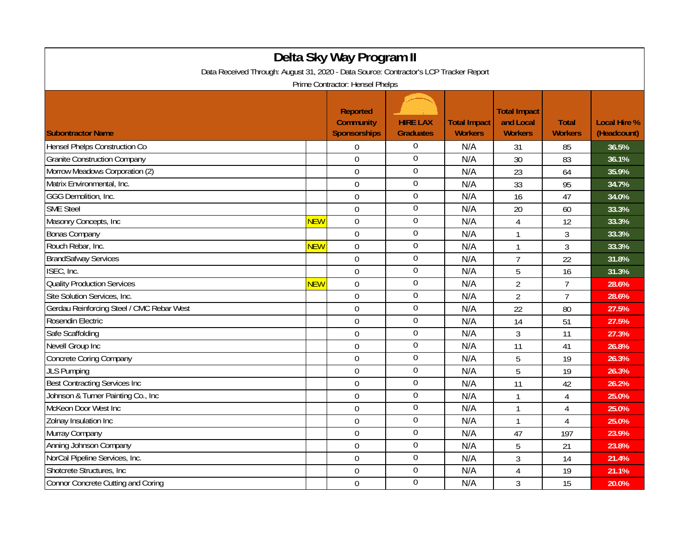| Delta Sky Way Program II                                                                                                 |            |                                                            |                                     |                                       |                                                    |                                |                                    |  |
|--------------------------------------------------------------------------------------------------------------------------|------------|------------------------------------------------------------|-------------------------------------|---------------------------------------|----------------------------------------------------|--------------------------------|------------------------------------|--|
| Data Received Through: August 31, 2020 - Data Source: Contractor's LCP Tracker Report<br>Prime Contractor: Hensel Phelps |            |                                                            |                                     |                                       |                                                    |                                |                                    |  |
| <b>Subontractor Name</b>                                                                                                 |            | <b>Reported</b><br><b>Community</b><br><b>Sponsorships</b> | <b>HIRE LAX</b><br><b>Graduates</b> | <b>Total Impact</b><br><b>Workers</b> | <b>Total Impact</b><br>and Local<br><b>Workers</b> | <b>Total</b><br><b>Workers</b> | <b>Local Hire %</b><br>(Headcount) |  |
| Hensel Phelps Construction Co                                                                                            |            | $\Omega$                                                   | $\boldsymbol{0}$                    | N/A                                   | 31                                                 | 85                             | 36.5%                              |  |
| <b>Granite Construction Company</b>                                                                                      |            | $\overline{0}$                                             | $\overline{0}$                      | N/A                                   | 30                                                 | 83                             | 36.1%                              |  |
| Morrow Meadows Corporation (2)                                                                                           |            | $\overline{0}$                                             | $\overline{0}$                      | N/A                                   | 23                                                 | 64                             | 35.9%                              |  |
| Matrix Environmental, Inc.                                                                                               |            | $\mathbf 0$                                                | $\boldsymbol{0}$                    | N/A                                   | 33                                                 | 95                             | 34.7%                              |  |
| GGG Demolition, Inc.                                                                                                     |            | $\mathbf 0$                                                | $\overline{0}$                      | N/A                                   | 16                                                 | 47                             | 34.0%                              |  |
| <b>SME Steel</b>                                                                                                         |            | $\overline{0}$                                             | $\boldsymbol{0}$                    | N/A                                   | 20                                                 | 60                             | 33.3%                              |  |
| Masonry Concepts, Inc                                                                                                    | <b>NEW</b> | $\overline{0}$                                             | $\mathbf{0}$                        | N/A                                   | 4                                                  | 12                             | 33.3%                              |  |
| <b>Bonas Company</b>                                                                                                     |            | $\mathbf 0$                                                | $\overline{0}$                      | N/A                                   | $\mathbf{1}$                                       | 3                              | 33.3%                              |  |
| Rouch Rebar, Inc.                                                                                                        | <b>NEW</b> | $\mathbf 0$                                                | $\overline{0}$                      | N/A                                   | 1                                                  | 3                              | 33.3%                              |  |
| <b>BrandSafway Services</b>                                                                                              |            | $\overline{0}$                                             | $\overline{0}$                      | N/A                                   | $\overline{7}$                                     | 22                             | 31.8%                              |  |
| ISEC, Inc.                                                                                                               |            | $\overline{0}$                                             | $\theta$                            | N/A                                   | 5                                                  | 16                             | 31.3%                              |  |
| <b>Quality Production Services</b>                                                                                       | <b>NEW</b> | $\mathbf 0$                                                | $\theta$                            | N/A                                   | $\overline{2}$                                     | $\overline{7}$                 | 28.6%                              |  |
| Site Solution Services, Inc.                                                                                             |            | $\overline{0}$                                             | $\boldsymbol{0}$                    | N/A                                   | $\overline{2}$                                     | $\overline{7}$                 | 28.6%                              |  |
| Gerdau Reinforcing Steel / CMC Rebar West                                                                                |            | $\mathbf 0$                                                | $\boldsymbol{0}$                    | N/A                                   | 22                                                 | 80                             | 27.5%                              |  |
| Rosendin Electric                                                                                                        |            | $\boldsymbol{0}$                                           | $\boldsymbol{0}$                    | N/A                                   | 14                                                 | 51                             | 27.5%                              |  |
| Safe Scaffolding                                                                                                         |            | $\mathbf 0$                                                | $\boldsymbol{0}$                    | N/A                                   | 3                                                  | 11                             | 27.3%                              |  |
| Nevell Group Inc                                                                                                         |            | 0                                                          | $\overline{0}$                      | N/A                                   | 11                                                 | 41                             | 26.8%                              |  |
| <b>Concrete Coring Company</b>                                                                                           |            | $\overline{0}$                                             | $\boldsymbol{0}$                    | N/A                                   | 5                                                  | 19                             | 26.3%                              |  |
| <b>JLS Pumping</b>                                                                                                       |            | $\overline{0}$                                             | $\overline{0}$                      | N/A                                   | 5                                                  | 19                             | 26.3%                              |  |
| <b>Best Contracting Services Inc</b>                                                                                     |            | $\mathbf 0$                                                | $\mathbf 0$                         | N/A                                   | 11                                                 | 42                             | 26.2%                              |  |
| Johnson & Turner Painting Co., Inc.                                                                                      |            | $\mathbf 0$                                                | $\boldsymbol{0}$                    | N/A                                   | $\mathbf{1}$                                       | $\overline{4}$                 | 25.0%                              |  |
| McKeon Door West Inc                                                                                                     |            | $\overline{0}$                                             | $\overline{0}$                      | N/A                                   | $\mathbf{1}$                                       | 4                              | 25.0%                              |  |
| Zolnay Insulation Inc                                                                                                    |            | $\overline{0}$                                             | $\overline{0}$                      | N/A                                   | $\mathbf{1}$                                       | $\overline{4}$                 | 25.0%                              |  |
| Murray Company                                                                                                           |            | $\mathbf 0$                                                | $\overline{0}$                      | N/A                                   | 47                                                 | 197                            | 23.9%                              |  |
| Anning Johnson Company                                                                                                   |            | 0                                                          | $\overline{0}$                      | N/A                                   | 5                                                  | 21                             | 23.8%                              |  |
| NorCal Pipeline Services, Inc.                                                                                           |            | $\mathbf 0$                                                | $\overline{0}$                      | N/A                                   | 3                                                  | 14                             | 21.4%                              |  |
| Shotcrete Structures, Inc.                                                                                               |            | $\overline{0}$                                             | $\boldsymbol{0}$                    | N/A                                   | 4                                                  | 19                             | 21.1%                              |  |
| <b>Connor Concrete Cutting and Coring</b>                                                                                |            | $\mathbf 0$                                                | $\overline{0}$                      | N/A                                   | 3                                                  | 15                             | 20.0%                              |  |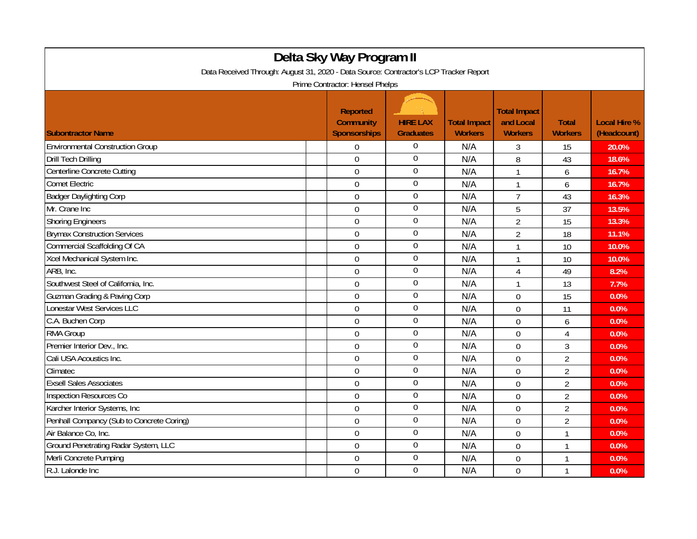| Delta Sky Way Program II                                                              |                                                     |                                     |                                       |                                                    |                                |                                    |  |  |
|---------------------------------------------------------------------------------------|-----------------------------------------------------|-------------------------------------|---------------------------------------|----------------------------------------------------|--------------------------------|------------------------------------|--|--|
| Data Received Through: August 31, 2020 - Data Source: Contractor's LCP Tracker Report |                                                     |                                     |                                       |                                                    |                                |                                    |  |  |
| Prime Contractor: Hensel Phelps                                                       |                                                     |                                     |                                       |                                                    |                                |                                    |  |  |
| <b>Subontractor Name</b>                                                              | <b>Reported</b><br><b>Community</b><br>Sponsorships | <b>HIRE LAX</b><br><b>Graduates</b> | <b>Total Impact</b><br><b>Workers</b> | <b>Total Impact</b><br>and Local<br><b>Workers</b> | <b>Total</b><br><b>Workers</b> | <b>Local Hire %</b><br>(Headcount) |  |  |
| <b>Environmental Construction Group</b>                                               | $\Omega$                                            | $\overline{0}$                      | N/A                                   | 3                                                  | 15                             | 20.0%                              |  |  |
| <b>Drill Tech Drilling</b>                                                            | $\mathbf 0$                                         | $\boldsymbol{0}$                    | N/A                                   | 8                                                  | 43                             | 18.6%                              |  |  |
| Centerline Concrete Cutting                                                           | $\mathbf 0$                                         | $\boldsymbol{0}$                    | N/A                                   | $\mathbf{1}$                                       | 6                              | 16.7%                              |  |  |
| Comet Electric                                                                        | $\overline{0}$                                      | $\boldsymbol{0}$                    | N/A                                   | $\mathbf{1}$                                       | 6                              | 16.7%                              |  |  |
| <b>Badger Daylighting Corp</b>                                                        | $\overline{0}$                                      | $\boldsymbol{0}$                    | N/A                                   | $\overline{7}$                                     | 43                             | 16.3%                              |  |  |
| Mr. Crane Inc                                                                         | $\overline{0}$                                      | $\boldsymbol{0}$                    | N/A                                   | 5                                                  | 37                             | 13.5%                              |  |  |
| <b>Shoring Engineers</b>                                                              | $\mathbf 0$                                         | $\boldsymbol{0}$                    | N/A                                   | $\overline{2}$                                     | 15                             | 13.3%                              |  |  |
| <b>Brymax Construction Services</b>                                                   | $\mathbf 0$                                         | $\boldsymbol{0}$                    | N/A                                   | $\overline{2}$                                     | 18                             | 11.1%                              |  |  |
| Commercial Scaffolding Of CA                                                          | $\Omega$                                            | $\overline{0}$                      | N/A                                   | $\mathbf{1}$                                       | 10                             | 10.0%                              |  |  |
| Xcel Mechanical System Inc.                                                           | $\overline{0}$                                      | $\mathbf 0$                         | N/A                                   | 1                                                  | 10                             | 10.0%                              |  |  |
| ARB, Inc.                                                                             | $\mathbf 0$                                         | $\boldsymbol{0}$                    | N/A                                   | 4                                                  | 49                             | 8.2%                               |  |  |
| Southwest Steel of California, Inc.                                                   | $\mathbf 0$                                         | $\boldsymbol{0}$                    | N/A                                   | $\mathbf{1}$                                       | 13                             | 7.7%                               |  |  |
| <b>Guzman Grading &amp; Paving Corp</b>                                               | $\mathbf 0$                                         | $\boldsymbol{0}$                    | N/A                                   | $\overline{0}$                                     | 15                             | 0.0%                               |  |  |
| Lonestar West Services LLC                                                            | $\Omega$                                            | $\boldsymbol{0}$                    | N/A                                   | $\Omega$                                           | 11                             | 0.0%                               |  |  |
| C.A. Buchen Corp                                                                      | $\mathbf 0$                                         | $\boldsymbol{0}$                    | N/A                                   | $\mathbf 0$                                        | 6                              | 0.0%                               |  |  |
| <b>RMA Group</b>                                                                      | $\overline{0}$                                      | $\boldsymbol{0}$                    | N/A                                   | 0                                                  | 4                              | 0.0%                               |  |  |
| Premier Interior Dev., Inc.                                                           | $\overline{0}$                                      | $\boldsymbol{0}$                    | N/A                                   | 0                                                  | 3                              | 0.0%                               |  |  |
| Cali USA Acoustics Inc.                                                               | $\mathbf 0$                                         | $\overline{0}$                      | N/A                                   | $\Omega$                                           | $\overline{2}$                 | 0.0%                               |  |  |
| Climatec                                                                              | $\boldsymbol{0}$                                    | $\boldsymbol{0}$                    | N/A                                   | $\mathbf 0$                                        | $\overline{2}$                 | 0.0%                               |  |  |
| <b>Exsell Sales Associates</b>                                                        | $\mathbf 0$                                         | $\boldsymbol{0}$                    | N/A                                   | $\mathbf 0$                                        | $\overline{2}$                 | 0.0%                               |  |  |
| Inspection Resources Co                                                               | $\mathbf 0$                                         | $\boldsymbol{0}$                    | N/A                                   | $\overline{0}$                                     | $\overline{2}$                 | 0.0%                               |  |  |
| Karcher Interior Systems, Inc.                                                        | $\overline{0}$                                      | $\overline{0}$                      | N/A                                   | $\overline{0}$                                     | $\overline{2}$                 | 0.0%                               |  |  |
| Penhall Compancy (Sub to Concrete Coring)                                             | $\overline{0}$                                      | $\mathbf 0$                         | N/A                                   | $\overline{0}$                                     | $\overline{2}$                 | 0.0%                               |  |  |
| Air Balance Co, Inc.                                                                  | $\mathbf 0$                                         | $\boldsymbol{0}$                    | N/A                                   | $\mathbf 0$                                        | 1                              | 0.0%                               |  |  |
| Ground Penetrating Radar System, LLC                                                  | $\mathbf 0$                                         | $\boldsymbol{0}$                    | N/A                                   | $\mathbf 0$                                        | 1                              | 0.0%                               |  |  |
| Merli Concrete Pumping                                                                | $\Omega$                                            | $\boldsymbol{0}$                    | N/A                                   | 0                                                  | 1                              | 0.0%                               |  |  |
| R.J. Lalonde Inc                                                                      | $\mathbf 0$                                         | $\boldsymbol{0}$                    | N/A                                   | 0                                                  | 1                              | 0.0%                               |  |  |